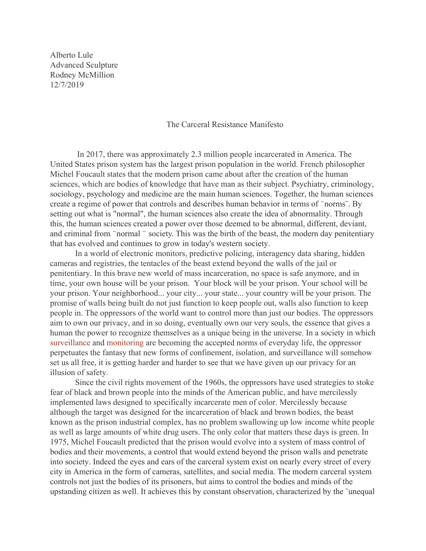Alberto Lule Advanced Sculpture Rodney McMillion 12/7/2019

## The Carceral Resistance Manifesto

 In 2017, there was approximately 2.3 million people incarcerated in America. The United States prison system has the largest prison population in the world. French philosopher Michel Foucault states that the modern prison came about after the creation of the human sciences, which are bodies of knowledge that have man as their subject. Psychiatry, criminology, sociology, psychology and medicine are the main human sciences. Together, the human sciences create a regime of power that controls and describes human behavior in terms of ̈norms¨. By setting out what is "normal", the human sciences also create the idea of abnormality. Through this, the human sciences created a power over those deemed to be abnormal, different, deviant, and criminal from "normal " society. This was the birth of the beast, the modern day penitentiary that has evolved and continues to grow in today's western society.

In a world of electronic monitors, predictive policing, interagency data sharing, hidden cameras and registries, the tentacles of the beast extend beyond the walls of the jail or penitentiary. In this brave new world of mass incarceration, no space is safe anymore, and in time, your own house will be your prison. Your block will be your prison. Your school will be your prison. Your neighborhood... your city... your state... your country will be your prison. The promise of walls being built do not just function to keep people out, walls also function to keep people in. The oppressors of the world want to control more than just our bodies. The oppressors aim to own our privacy, and in so doing, eventually own our very souls, the essence that gives a human the power to recognize themselves as a unique being in the universe. In a society in which [surveillance](http://www.tomdispatch.com/blog/175822/tomgram%3A_crump_and_harwood,_the_net_closes_around_us/) and [monitoring](http://www.tomdispatch.com/blog/175919/tomgram%3A_shamsi_and_harwood,_an_electronic_archipelago_of_domestic_surveillance/) are becoming the accepted norms of everyday life, the oppressor perpetuates the fantasy that new forms of confinement, isolation, and surveillance will somehow set us all free, it is getting harder and harder to see that we have given up our privacy for an illusion of safety.

Since the civil rights movement of the 1960s, the oppressors have used strategies to stoke fear of black and brown people into the minds of the American public, and have mercilessly implemented laws designed to specifically incarcerate men of color. Mercilessly because although the target was designed for the incarceration of black and brown bodies, the beast known as the prison industrial complex, has no problem swallowing up low income white people as well as large amounts of white drug users. The only color that matters these days is green. In 1975, Michel Foucault predicted that the prison would evolve into a system of mass control of bodies and their movements, a control that would extend beyond the prison walls and penetrate into society. Indeed the eyes and ears of the carceral system exist on nearly every street of every city in America in the form of cameras, satellites, and social media. The modern carceral system controls not just the bodies of its prisoners, but aims to control the bodies and minds of the upstanding citizen as well. It achieves this by constant observation, characterized by the ¨unequal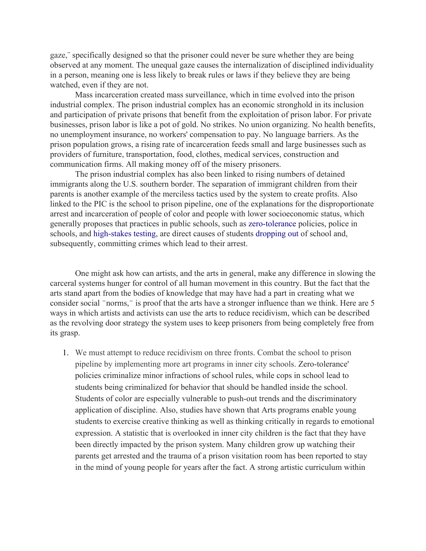gaze,¨ specifically designed so that the prisoner could never be sure whether they are being observed at any moment. The unequal gaze causes the internalization of disciplined individuality in a person, meaning one is less likely to break rules or laws if they believe they are being watched, even if they are not.

Mass incarceration created mass surveillance, which in time evolved into the prison industrial complex. The prison industrial complex has an economic stronghold in its inclusion and participation of private prisons that benefit from the exploitation of prison labor. For private businesses, prison labor is like a pot of gold. No strikes. No union organizing. No health benefits, no unemployment insurance, no workers' compensation to pay. No language barriers. As the prison population grows, a rising rate of incarceration feeds small and large businesses such as providers of furniture, transportation, food, clothes, medical services, construction and communication firms. All making money off of the misery prisoners.

The prison industrial complex has also been linked to rising numbers of detained immigrants along the U.S. southern border. The separation of immigrant children from their parents is another example of the merciless tactics used by the system to create profits. Also linked to the PIC is the school to prison pipeline, one of the explanations for the disproportionate arrest and incarceration of people of color and people with lower socioeconomic status, which generally proposes that practices in public schools, such as [zero-tolerance](https://en.wikipedia.org/wiki/Zero-tolerance) policies, police in schools, and [high-stakes testing,](https://en.wikipedia.org/wiki/High-stakes_testing) are direct causes of students [dropping out](https://en.wikipedia.org/wiki/Dropping_out) of school and, subsequently, committing crimes which lead to their arrest.

One might ask how can artists, and the arts in general, make any difference in slowing the carceral systems hunger for control of all human movement in this country. But the fact that the arts stand apart from the bodies of knowledge that may have had a part in creating what we consider social ̈norms,̈ is proof that the arts have a stronger influence than we think. Here are 5 ways in which artists and activists can use the arts to reduce recidivism, which can be described as the revolving door strategy the system uses to keep prisoners from being completely free from its grasp.

1. We must attempt to reduce recidivism on three fronts. Combat the school to prison pipeline by implementing more art programs in inner city schools. Zero-tolerance' policies criminalize minor infractions of school rules, while cops in school lead to students being criminalized for behavior that should be handled inside the school. Students of color are especially vulnerable to push-out trends and the discriminatory application of discipline. Also, studies have shown that Arts programs enable young students to exercise creative thinking as well as thinking critically in regards to emotional expression. A statistic that is overlooked in inner city children is the fact that they have been directly impacted by the prison system. Many children grow up watching their parents get arrested and the trauma of a prison visitation room has been reported to stay in the mind of young people for years after the fact. A strong artistic curriculum within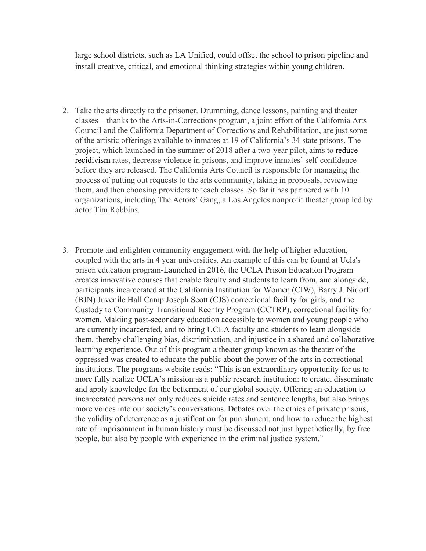large school districts, such as LA Unified, could offset the school to prison pipeline and install creative, critical, and emotional thinking strategies within young children.

- 2. Take the arts directly to the prisoner. Drumming, dance lessons, painting and theater classes—thanks to the Arts-in-Corrections program, a joint effort of the California Arts Council and the California Department of Corrections and Rehabilitation, are just some of the artistic offerings available to inmates at 19 of California's 34 state prisons. The project, which launched in the summer of 2018 after a two-year pilot, aims to [reduce](http://www.takepart.com/article/2016/07/13/project-rebound) [recidivism](http://www.takepart.com/article/2016/07/13/project-rebound) [r](http://www.takepart.com/article/2016/07/13/project-rebound)ates, decrease violence in prisons, and improve inmates' self-confidence before they are released. The California Arts Council is responsible for managing the process of putting out requests to the arts community, taking in proposals, reviewing them, and then choosing providers to teach classes. So far it has partnered with 10 organizations, including The Actors' Gang, a Los Angeles nonprofit theater group led by actor Tim Robbins.
- 3. Promote and enlighten community engagement with the help of higher education, coupled with the arts in 4 year universities. An example of this can be found at Ucla's prison education program-Launched in 2016, the UCLA Prison Education Program creates innovative courses that enable faculty and students to learn from, and alongside, participants incarcerated at the California Institution for Women (CIW), Barry J. Nidorf (BJN) Juvenile Hall Camp Joseph Scott (CJS) correctional facility for girls, and the Custody to Community Transitional Reentry Program (CCTRP), correctional facility for women. Makiing post-secondary education accessible to women and young people who are currently incarcerated, and to bring UCLA faculty and students to learn alongside them, thereby challenging bias, discrimination, and injustice in a shared and collaborative learning experience. Out of this program a theater group known as the theater of the oppressed was created to educate the public about the power of the arts in correctional institutions. The programs website reads: "This is an extraordinary opportunity for us to more fully realize UCLA's mission as a public research institution: to create, disseminate and apply knowledge for the betterment of our global society. Offering an education to incarcerated persons not only reduces suicide rates and sentence lengths, but also brings more voices into our society's conversations. Debates over the ethics of private prisons, the validity of deterrence as a justification for punishment, and how to reduce the highest rate of imprisonment in human history must be discussed not just hypothetically, by free people, but also by people with experience in the criminal justice system."